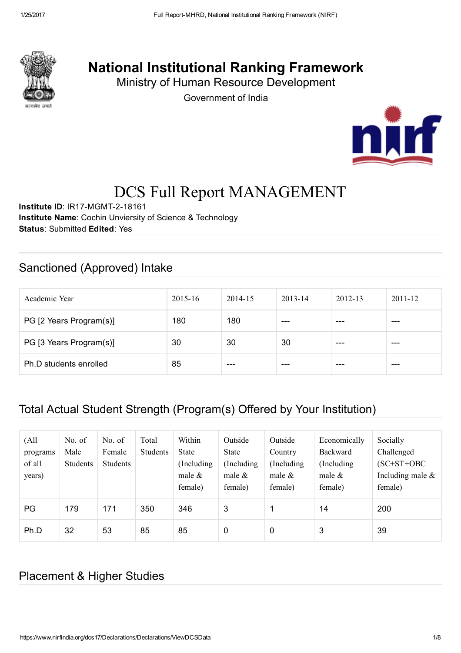

# National Institutional Ranking Framework

Ministry of Human Resource Development

Government of India



# DCS Full Report MANAGEMENT

Institute ID: IR17-MGMT-2-18161 Institute Name: Cochin Unviersity of Science & Technology Status: Submitted Edited: Yes

### Sanctioned (Approved) Intake

| Academic Year           | $2015 - 16$ | 2014-15 | 2013-14 | $2012 - 13$ | $2011 - 12$ |
|-------------------------|-------------|---------|---------|-------------|-------------|
| PG [2 Years Program(s)] | 180         | 180     | ---     | ---         | ---         |
| PG [3 Years Program(s)] | 30          | 30      | 30      | ---         | ---         |
| Ph.D students enrolled  | 85          | ---     | ---     | ---         | ---         |

### Total Actual Student Strength (Program(s) Offered by Your Institution)

| (A <sup>11</sup> )<br>programs<br>of all<br>years) | No. of<br>Male<br><b>Students</b> | No. of<br>Female<br><b>Students</b> | Total<br>Students | Within<br>State<br>Including<br>male $\&$<br>female) | Outside<br>State<br>(Including)<br>male $\&$<br>female) | Outside<br>Country<br>(Including)<br>male $\&$<br>female) | Economically<br><b>Backward</b><br>(Including)<br>male $\&$<br>female) | Socially<br>Challenged<br>$(SC+ST+OBC$<br>Including male $\&$<br>female) |
|----------------------------------------------------|-----------------------------------|-------------------------------------|-------------------|------------------------------------------------------|---------------------------------------------------------|-----------------------------------------------------------|------------------------------------------------------------------------|--------------------------------------------------------------------------|
| PG                                                 | 179                               | 171                                 | 350               | 346                                                  | 3                                                       | ◢                                                         | 14                                                                     | 200                                                                      |
| Ph.D                                               | 32                                | 53                                  | 85                | 85                                                   | 0                                                       | 0                                                         | 3                                                                      | 39                                                                       |

### Placement & Higher Studies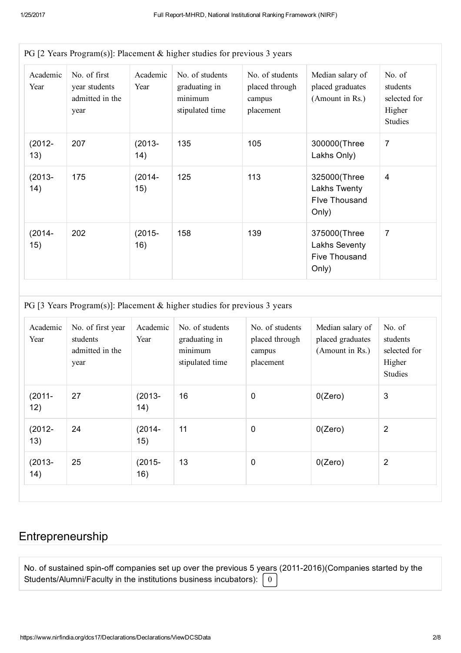|                  |                                                          |                   | PG [2 Years Program(s)]: Placement $\&$ higher studies for previous 3 years |                                                          |                                                         |                                                                |
|------------------|----------------------------------------------------------|-------------------|-----------------------------------------------------------------------------|----------------------------------------------------------|---------------------------------------------------------|----------------------------------------------------------------|
| Academic<br>Year | No. of first<br>year students<br>admitted in the<br>year | Academic<br>Year  | No. of students<br>graduating in<br>minimum<br>stipulated time              | No. of students<br>placed through<br>campus<br>placement | Median salary of<br>placed graduates<br>(Amount in Rs.) | No. of<br>students<br>selected for<br>Higher<br><b>Studies</b> |
| $(2012 -$<br>13) | 207                                                      | $(2013 -$<br>(14) | 135                                                                         | 105                                                      | 300000(Three<br>Lakhs Only)                             | $\overline{7}$                                                 |
| $(2013 -$<br>14) | 175                                                      | $(2014 -$<br>15)  | 125                                                                         | 113                                                      | 325000(Three<br>Lakhs Twenty<br>Flve Thousand<br>Only)  | 4                                                              |
| $(2014 -$<br>15) | 202                                                      | $(2015 -$<br>16)  | 158                                                                         | 139                                                      | 375000(Three<br>Lakhs Seventy<br>Five Thousand<br>Only) | 7                                                              |

PG [3 Years Program(s)]: Placement & higher studies for previous 3 years

| Academic<br>Year | No. of first year<br>students<br>admitted in the<br>year | Academic<br>Year  | No. of students<br>graduating in<br>minimum<br>stipulated time | No. of students<br>placed through<br>campus<br>placement | Median salary of<br>placed graduates<br>(Amount in Rs.) | No. of<br>students<br>selected for<br>Higher<br><b>Studies</b> |
|------------------|----------------------------------------------------------|-------------------|----------------------------------------------------------------|----------------------------------------------------------|---------------------------------------------------------|----------------------------------------------------------------|
| $(2011 -$<br>12) | 27                                                       | $(2013 -$<br>(14) | 16                                                             | $\mathbf 0$                                              | 0(Zero)                                                 | 3                                                              |
| $(2012 -$<br>13) | 24                                                       | $(2014 -$<br>15)  | 11                                                             | $\mathbf 0$                                              | 0(Zero)                                                 | $\overline{2}$                                                 |
| $(2013 -$<br>14) | 25                                                       | $(2015 -$<br>16)  | 13                                                             | $\mathbf 0$                                              | 0(Zero)                                                 | $\overline{2}$                                                 |

# Entrepreneurship

| No. of sustained spin-off companies set up over the previous 5 years (2011-2016) (Companies started by the |  |
|------------------------------------------------------------------------------------------------------------|--|
| Students/Alumni/Faculty in the institutions business incubators): $\begin{bmatrix} 0 \end{bmatrix}$        |  |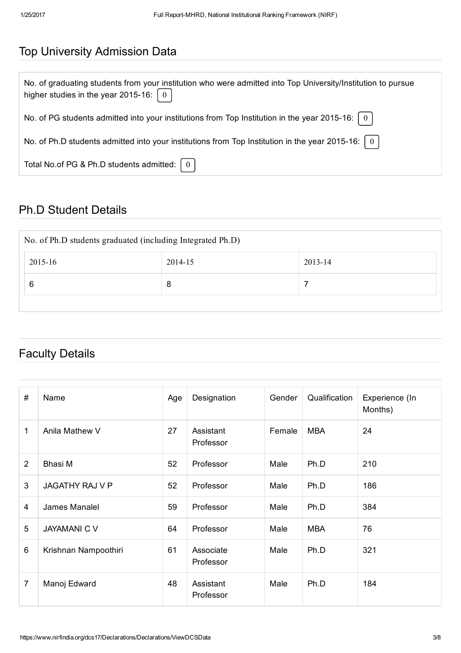### Top University Admission Data

| No. of graduating students from your institution who were admitted into Top University/Institution to pursue<br>higher studies in the year 2015-16: $\boxed{0}$ |
|-----------------------------------------------------------------------------------------------------------------------------------------------------------------|
| No. of PG students admitted into your institutions from Top Institution in the year 2015-16: $\mid 0 \mid$                                                      |
| No. of Ph.D students admitted into your institutions from Top Institution in the year 2015-16: $\mid 0 \mid$                                                    |
| Total No.of PG & Ph.D students admitted: $\begin{pmatrix} 0 \end{pmatrix}$                                                                                      |

## Ph.D Student Details

| No. of Ph.D students graduated (including Integrated Ph.D) |         |         |  |  |  |  |
|------------------------------------------------------------|---------|---------|--|--|--|--|
| 2015-16                                                    | 2014-15 | 2013-14 |  |  |  |  |
|                                                            | 8       |         |  |  |  |  |
|                                                            |         |         |  |  |  |  |

### Faculty Details

| #              | Name                   | Age | Designation            | Gender | Qualification | Experience (In<br>Months) |
|----------------|------------------------|-----|------------------------|--------|---------------|---------------------------|
| 1              | Anila Mathew V         | 27  | Assistant<br>Professor | Female | <b>MBA</b>    | 24                        |
| $\overline{2}$ | Bhasi M                | 52  | Professor              | Male   | Ph.D          | 210                       |
| 3              | <b>JAGATHY RAJ V P</b> | 52  | Professor              | Male   | Ph.D          | 186                       |
| 4              | James Manalel          | 59  | Professor              | Male   | Ph.D          | 384                       |
| 5              | <b>JAYAMANI C V</b>    | 64  | Professor              | Male   | <b>MBA</b>    | 76                        |
| 6              | Krishnan Nampoothiri   | 61  | Associate<br>Professor | Male   | Ph.D          | 321                       |
| 7              | Manoj Edward           | 48  | Assistant<br>Professor | Male   | Ph.D          | 184                       |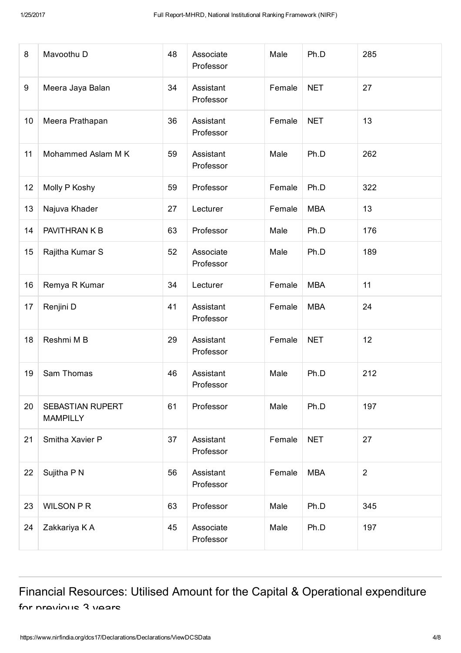| 8  | Mavoothu D                          | 48 | Associate<br>Professor | Male   | Ph.D       | 285            |
|----|-------------------------------------|----|------------------------|--------|------------|----------------|
| 9  | Meera Jaya Balan                    | 34 | Assistant<br>Professor | Female | <b>NET</b> | 27             |
| 10 | Meera Prathapan                     | 36 | Assistant<br>Professor | Female | <b>NET</b> | 13             |
| 11 | Mohammed Aslam M K                  | 59 | Assistant<br>Professor | Male   | Ph.D       | 262            |
| 12 | Molly P Koshy                       | 59 | Professor              | Female | Ph.D       | 322            |
| 13 | Najuva Khader                       | 27 | Lecturer               | Female | <b>MBA</b> | 13             |
| 14 | PAVITHRAN K B                       | 63 | Professor              | Male   | Ph.D       | 176            |
| 15 | Rajitha Kumar S                     | 52 | Associate<br>Professor | Male   | Ph.D       | 189            |
| 16 | Remya R Kumar                       | 34 | Lecturer               | Female | <b>MBA</b> | 11             |
| 17 | Renjini D                           | 41 | Assistant<br>Professor | Female | <b>MBA</b> | 24             |
| 18 | Reshmi M B                          | 29 | Assistant<br>Professor | Female | <b>NET</b> | 12             |
| 19 | Sam Thomas                          | 46 | Assistant<br>Professor | Male   | Ph.D       | 212            |
| 20 | SEBASTIAN RUPERT<br><b>MAMPILLY</b> | 61 | Professor              | Male   | Ph.D       | 197            |
| 21 | Smitha Xavier P                     | 37 | Assistant<br>Professor | Female | <b>NET</b> | 27             |
| 22 | Sujitha P N                         | 56 | Assistant<br>Professor | Female | <b>MBA</b> | $\overline{2}$ |
| 23 | <b>WILSON P R</b>                   | 63 | Professor              | Male   | Ph.D       | 345            |
| 24 | Zakkariya K A                       | 45 | Associate<br>Professor | Male   | Ph.D       | 197            |

Financial Resources: Utilised Amount for the Capital & Operational expenditure for pravious 3 years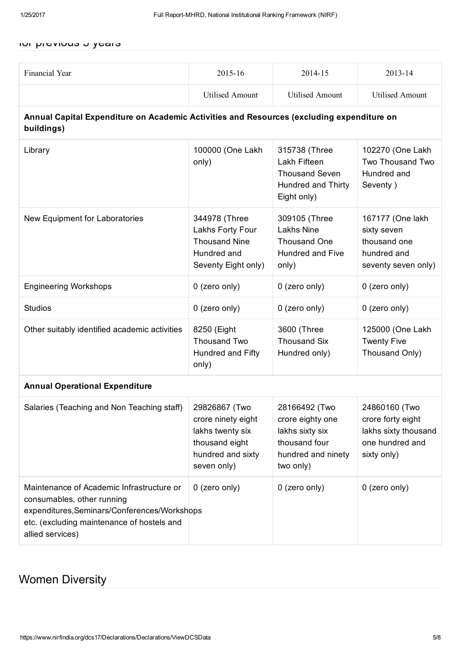#### for previous 3 years

| Financial Year                                                                                                                                                                            | 2015-16                                                                                                       | 2014-15                                                                                                  | 2013-14                                                                                      |
|-------------------------------------------------------------------------------------------------------------------------------------------------------------------------------------------|---------------------------------------------------------------------------------------------------------------|----------------------------------------------------------------------------------------------------------|----------------------------------------------------------------------------------------------|
|                                                                                                                                                                                           | <b>Utilised Amount</b>                                                                                        | <b>Utilised Amount</b>                                                                                   | <b>Utilised Amount</b>                                                                       |
| Annual Capital Expenditure on Academic Activities and Resources (excluding expenditure on<br>buildings)                                                                                   |                                                                                                               |                                                                                                          |                                                                                              |
| Library                                                                                                                                                                                   | 100000 (One Lakh<br>only)                                                                                     | 315738 (Three<br>Lakh Fifteen<br><b>Thousand Seven</b><br>Hundred and Thirty<br>Eight only)              | 102270 (One Lakh<br>Two Thousand Two<br>Hundred and<br>Seventy)                              |
| New Equipment for Laboratories                                                                                                                                                            | 344978 (Three<br>Lakhs Forty Four<br><b>Thousand Nine</b><br>Hundred and<br>Seventy Eight only)               | 309105 (Three<br><b>Lakhs Nine</b><br><b>Thousand One</b><br><b>Hundred and Five</b><br>only)            | 167177 (One lakh<br>sixty seven<br>thousand one<br>hundred and<br>seventy seven only)        |
| <b>Engineering Workshops</b>                                                                                                                                                              | 0 (zero only)                                                                                                 | 0 (zero only)                                                                                            | 0 (zero only)                                                                                |
| <b>Studios</b>                                                                                                                                                                            | 0 (zero only)                                                                                                 | 0 (zero only)                                                                                            | 0 (zero only)                                                                                |
| Other suitably identified academic activities                                                                                                                                             | 8250 (Eight<br>Thousand Two<br>Hundred and Fifty<br>only)                                                     | 3600 (Three<br><b>Thousand Six</b><br>Hundred only)                                                      | 125000 (One Lakh<br><b>Twenty Five</b><br>Thousand Only)                                     |
| <b>Annual Operational Expenditure</b>                                                                                                                                                     |                                                                                                               |                                                                                                          |                                                                                              |
| Salaries (Teaching and Non Teaching staff)                                                                                                                                                | 29826867 (Two<br>crore ninety eight<br>lakhs twenty six<br>thousand eight<br>hundred and sixty<br>seven only) | 28166492 (Two<br>crore eighty one<br>lakhs sixty six<br>thousand four<br>hundred and ninety<br>two only) | 24860160 (Two<br>crore forty eight<br>lakhs sixty thousand<br>one hundred and<br>sixty only) |
| Maintenance of Academic Infrastructure or<br>consumables, other running<br>expenditures, Seminars/Conferences/Workshops<br>etc. (excluding maintenance of hostels and<br>allied services) | 0 (zero only)                                                                                                 | 0 (zero only)                                                                                            | 0 (zero only)                                                                                |

### Women Diversity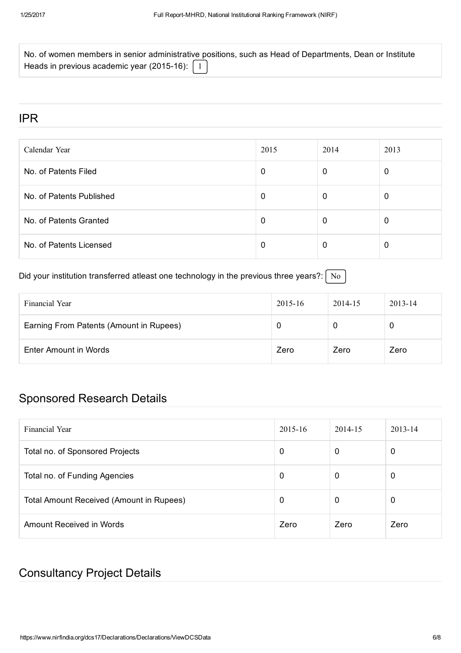| No. of women members in senior administrative positions, such as Head of Departments, Dean or Institute |  |  |
|---------------------------------------------------------------------------------------------------------|--|--|
| Heads in previous academic year (2015-16): $\boxed{1}$                                                  |  |  |

### IPR

| Calendar Year            | 2015 | 2014 | 2013     |
|--------------------------|------|------|----------|
| No. of Patents Filed     | 0    | 0    | $\Omega$ |
| No. of Patents Published | 0    | 0    | O        |
| No. of Patents Granted   | 0    | 0    |          |
| No. of Patents Licensed  | 0    | 0    | O        |

### Did your institution transferred atleast one technology in the previous three years?:  $\sqrt{\phantom{a}}$  No

| Financial Year                          | $2015 - 16$ | 2014-15 | $2013 - 14$ |
|-----------------------------------------|-------------|---------|-------------|
| Earning From Patents (Amount in Rupees) |             | U       | 0           |
| Enter Amount in Words                   | Zero        | Zero    | Zero        |

### Sponsored Research Details

| Financial Year                           | $2015 - 16$ | 2014-15 | $2013 - 14$ |
|------------------------------------------|-------------|---------|-------------|
| Total no. of Sponsored Projects          | 0           | 0       | 0           |
| Total no. of Funding Agencies            | 0           | 0       | 0           |
| Total Amount Received (Amount in Rupees) | 0           | 0       | 0           |
| Amount Received in Words                 | Zero        | Zero    | Zero        |

### Consultancy Project Details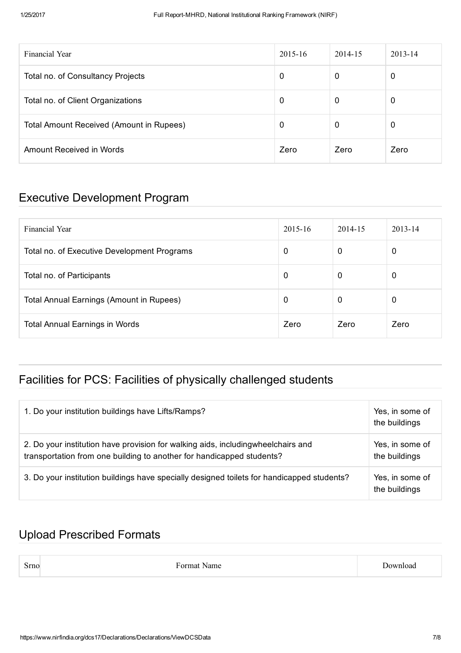| Financial Year                           | $2015 - 16$ | 2014-15 | $2013 - 14$ |
|------------------------------------------|-------------|---------|-------------|
| Total no. of Consultancy Projects        | 0           | 0       | 0           |
| Total no. of Client Organizations        | 0           | 0       | 0           |
| Total Amount Received (Amount in Rupees) | 0           | 0       | 0           |
| Amount Received in Words                 | Zero        | Zero    | Zero        |

### Executive Development Program

| Financial Year                                  | $2015 - 16$ | 2014-15 | $2013 - 14$ |
|-------------------------------------------------|-------------|---------|-------------|
| Total no. of Executive Development Programs     | 0           | 0       | 0           |
| Total no. of Participants                       | $\mathbf 0$ | 0       | 0           |
| <b>Total Annual Earnings (Amount in Rupees)</b> | $\mathbf 0$ | 0       | 0           |
| <b>Total Annual Earnings in Words</b>           | Zero        | Zero    | Zero        |

### Facilities for PCS: Facilities of physically challenged students

| 1. Do your institution buildings have Lifts/Ramps?                                                                                                        | Yes, in some of<br>the buildings |
|-----------------------------------------------------------------------------------------------------------------------------------------------------------|----------------------------------|
| 2. Do your institution have provision for walking aids, includingwheelchairs and<br>transportation from one building to another for handicapped students? | Yes, in some of<br>the buildings |
| 3. Do your institution buildings have specially designed toilets for handicapped students?                                                                | Yes, in some of<br>the buildings |

### Upload Prescribed Formats